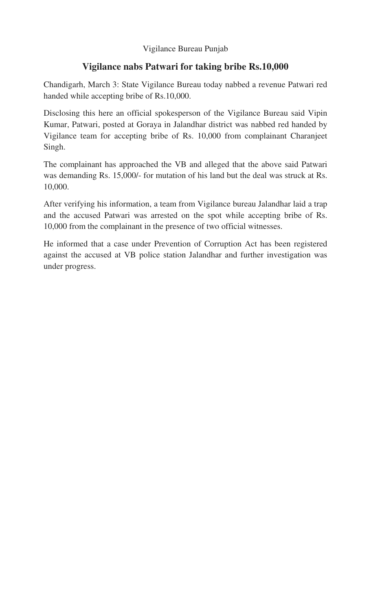## Vigilance Bureau Punjab

## **Vigilance nabs Patwari for taking bribe Rs.10,000**

Chandigarh, March 3: State Vigilance Bureau today nabbed a revenue Patwari red handed while accepting bribe of Rs.10,000.

Disclosing this here an official spokesperson of the Vigilance Bureau said Vipin Kumar, Patwari, posted at Goraya in Jalandhar district was nabbed red handed by Vigilance team for accepting bribe of Rs. 10,000 from complainant Charanjeet Singh.

The complainant has approached the VB and alleged that the above said Patwari was demanding Rs. 15,000/- for mutation of his land but the deal was struck at Rs. 10,000.

After verifying his information, a team from Vigilance bureau Jalandhar laid a trap and the accused Patwari was arrested on the spot while accepting bribe of Rs. 10,000 from the complainant in the presence of two official witnesses.

He informed that a case under Prevention of Corruption Act has been registered against the accused at VB police station Jalandhar and further investigation was under progress.